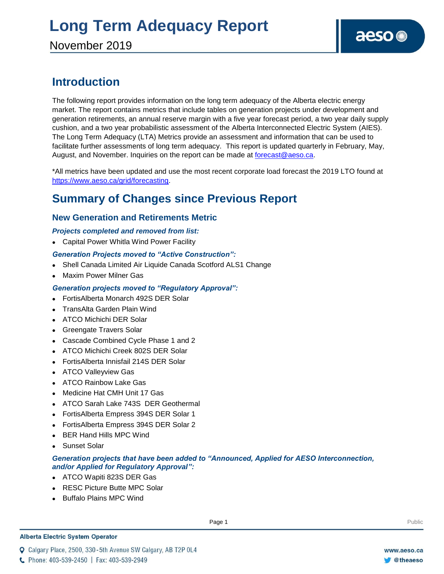## **Introduction**

The following report provides information on the long term adequacy of the Alberta electric energy market. The report contains metrics that include tables on generation projects under development and generation retirements, an annual reserve margin with a five year forecast period, a two year daily supply cushion, and a two year probabilistic assessment of the Alberta Interconnected Electric System (AIES). The Long Term Adequacy (LTA) Metrics provide an assessment and information that can be used to facilitate further assessments of long term adequacy. This report is updated quarterly in February, May, August, and November. Inquiries on the report can be made at [forecast@aeso.ca.](mailto:forecast@aeso.ca)

\*All metrics have been updated and use the most recent corporate load forecast the 2019 LTO found at https://www.aeso.ca/grid/forecasting.

## **Summary of Changes since Previous Report**

### **New Generation and Retirements Metric**

### *Projects completed and removed from list:*

Capital Power Whitla Wind Power Facility

### *Generation Projects moved to "Active Construction":*

- Shell Canada Limited Air Liquide Canada Scotford ALS1 Change
- Maxim Power Milner Gas

### *Generation projects moved to "Regulatory Approval":*

- FortisAlberta Monarch 492S DER Solar
- TransAlta Garden Plain Wind
- ATCO Michichi DER Solar
- Greengate Travers Solar
- Cascade Combined Cycle Phase 1 and 2
- ATCO Michichi Creek 802S DER Solar
- FortisAlberta Innisfail 214S DER Solar
- ATCO Valleyview Gas
- ATCO Rainbow Lake Gas
- Medicine Hat CMH Unit 17 Gas
- ATCO Sarah Lake 743S DER Geothermal
- FortisAlberta Empress 394S DER Solar 1
- FortisAlberta Empress 394S DER Solar 2
- BER Hand Hills MPC Wind
- Sunset Solar

### *Generation projects that have been added to "Announced, Applied for AESO Interconnection, and/or Applied for Regulatory Approval":*

- ATCO Wapiti 823S DER Gas
- RESC Picture Butte MPC Solar
- Buffalo Plains MPC Wind

#### **Alberta Electric System Operator**

Q Calgary Place, 2500, 330-5th Avenue SW Calgary, AB T2P 0L4

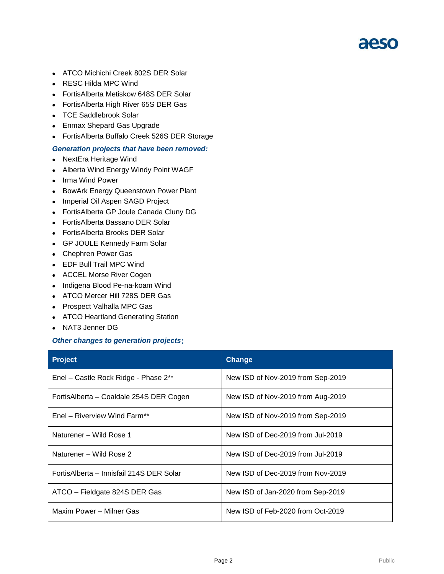- ATCO Michichi Creek 802S DER Solar
- RESC Hilda MPC Wind
- FortisAlberta Metiskow 648S DER Solar
- FortisAlberta High River 65S DER Gas
- TCE Saddlebrook Solar
- Enmax Shepard Gas Upgrade
- FortisAlberta Buffalo Creek 526S DER Storage

#### *Generation projects that have been removed:*

- NextEra Heritage Wind
- Alberta Wind Energy Windy Point WAGF
- Irma Wind Power
- **BowArk Energy Queenstown Power Plant**
- Imperial Oil Aspen SAGD Project
- FortisAlberta GP Joule Canada Cluny DG
- FortisAlberta Bassano DER Solar
- FortisAlberta Brooks DER Solar
- GP JOULE Kennedy Farm Solar
- Chephren Power Gas
- EDF Bull Trail MPC Wind
- ACCEL Morse River Cogen
- Indigena Blood Pe-na-koam Wind
- ATCO Mercer Hill 728S DER Gas
- Prospect Valhalla MPC Gas
- ATCO Heartland Generating Station
- NAT3 Jenner DG

#### *Other changes to generation projects***:**

| <b>Project</b>                           | <b>Change</b>                     |
|------------------------------------------|-----------------------------------|
| Enel - Castle Rock Ridge - Phase 2**     | New ISD of Nov-2019 from Sep-2019 |
| FortisAlberta – Coaldale 254S DER Cogen  | New ISD of Nov-2019 from Aug-2019 |
| Enel - Riverview Wind Farm**             | New ISD of Nov-2019 from Sep-2019 |
| Naturener - Wild Rose 1                  | New ISD of Dec-2019 from Jul-2019 |
| Naturener – Wild Rose 2                  | New ISD of Dec-2019 from Jul-2019 |
| FortisAlberta – Innisfail 214S DER Solar | New ISD of Dec-2019 from Nov-2019 |
| ATCO – Fieldgate 824S DER Gas            | New ISD of Jan-2020 from Sep-2019 |
| Maxim Power - Milner Gas                 | New ISD of Feb-2020 from Oct-2019 |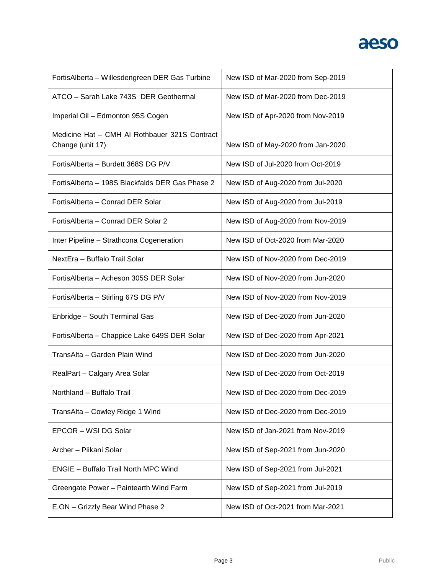

| FortisAlberta - Willesdengreen DER Gas Turbine                    | New ISD of Mar-2020 from Sep-2019 |
|-------------------------------------------------------------------|-----------------------------------|
| ATCO - Sarah Lake 743S DER Geothermal                             | New ISD of Mar-2020 from Dec-2019 |
| Imperial Oil - Edmonton 95S Cogen                                 | New ISD of Apr-2020 from Nov-2019 |
| Medicine Hat - CMH AI Rothbauer 321S Contract<br>Change (unit 17) | New ISD of May-2020 from Jan-2020 |
| FortisAlberta - Burdett 368S DG P/V                               | New ISD of Jul-2020 from Oct-2019 |
| Fortis Alberta - 198S Blackfalds DER Gas Phase 2                  | New ISD of Aug-2020 from Jul-2020 |
| FortisAlberta - Conrad DER Solar                                  | New ISD of Aug-2020 from Jul-2019 |
| Fortis Alberta - Conrad DER Solar 2                               | New ISD of Aug-2020 from Nov-2019 |
| Inter Pipeline - Strathcona Cogeneration                          | New ISD of Oct-2020 from Mar-2020 |
| NextEra - Buffalo Trail Solar                                     | New ISD of Nov-2020 from Dec-2019 |
| FortisAlberta - Acheson 305S DER Solar                            | New ISD of Nov-2020 from Jun-2020 |
| FortisAlberta - Stirling 67S DG P/V                               | New ISD of Nov-2020 from Nov-2019 |
| Enbridge - South Terminal Gas                                     | New ISD of Dec-2020 from Jun-2020 |
| FortisAlberta - Chappice Lake 649S DER Solar                      | New ISD of Dec-2020 from Apr-2021 |
| TransAlta - Garden Plain Wind                                     | New ISD of Dec-2020 from Jun-2020 |
| RealPart - Calgary Area Solar                                     | New ISD of Dec-2020 from Oct-2019 |
| Northland – Buffalo Trail                                         | New ISD of Dec-2020 from Dec-2019 |
| TransAlta - Cowley Ridge 1 Wind                                   | New ISD of Dec-2020 from Dec-2019 |
| EPCOR - WSI DG Solar                                              | New ISD of Jan-2021 from Nov-2019 |
| Archer - Piikani Solar                                            | New ISD of Sep-2021 from Jun-2020 |
| <b>ENGIE - Buffalo Trail North MPC Wind</b>                       | New ISD of Sep-2021 from Jul-2021 |
| Greengate Power - Paintearth Wind Farm                            | New ISD of Sep-2021 from Jul-2019 |
| E.ON - Grizzly Bear Wind Phase 2                                  | New ISD of Oct-2021 from Mar-2021 |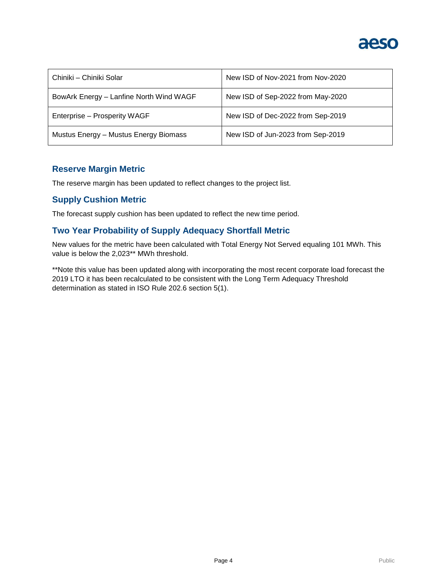

| Chiniki – Chiniki Solar                 | New ISD of Nov-2021 from Nov-2020 |
|-----------------------------------------|-----------------------------------|
| BowArk Energy - Lanfine North Wind WAGF | New ISD of Sep-2022 from May-2020 |
| Enterprise - Prosperity WAGF            | New ISD of Dec-2022 from Sep-2019 |
| Mustus Energy - Mustus Energy Biomass   | New ISD of Jun-2023 from Sep-2019 |

### **Reserve Margin Metric**

The reserve margin has been updated to reflect changes to the project list.

### **Supply Cushion Metric**

The forecast supply cushion has been updated to reflect the new time period.

### **Two Year Probability of Supply Adequacy Shortfall Metric**

New values for the metric have been calculated with Total Energy Not Served equaling 101 MWh. This value is below the 2,023\*\* MWh threshold.

\*\*Note this value has been updated along with incorporating the most recent corporate load forecast the 2019 LTO it has been recalculated to be consistent with the Long Term Adequacy Threshold determination as stated in ISO Rule 202.6 section 5(1).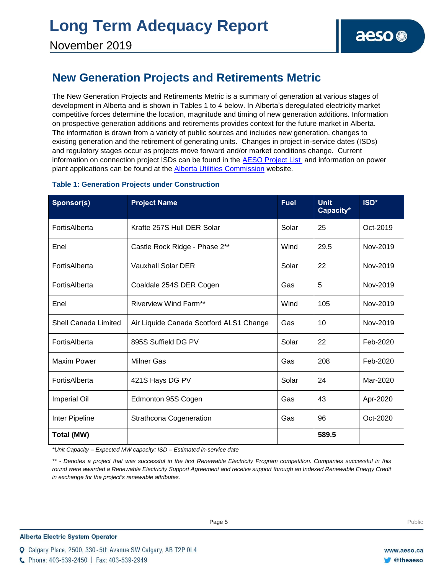### **New Generation Projects and Retirements Metric**

The New Generation Projects and Retirements Metric is a summary of generation at various stages of development in Alberta and is shown in Tables 1 to 4 below. In Alberta's deregulated electricity market competitive forces determine the location, magnitude and timing of new generation additions. Information on prospective generation additions and retirements provides context for the future market in Alberta. The information is drawn from a variety of public sources and includes new generation, changes to existing generation and the retirement of generating units. Changes in project in-service dates (ISDs) and regulatory stages occur as projects move forward and/or market conditions change. Current information on connection project ISDs can be found in the [AESO Project List](https://www.aeso.ca/grid/connecting-to-the-grid/) and information on power plant applications can be found at the **Alberta Utilities Commission** website.

| <b>Sponsor(s)</b>    | <b>Project Name</b>                     | <b>Fuel</b> | <b>Unit</b><br>Capacity* | ISD*     |
|----------------------|-----------------------------------------|-------------|--------------------------|----------|
| FortisAlberta        | Krafte 257S Hull DER Solar              | Solar       | 25                       | Oct-2019 |
| Enel                 | Castle Rock Ridge - Phase 2**           | Wind        | 29.5                     | Nov-2019 |
| FortisAlberta        | <b>Vauxhall Solar DER</b>               | Solar       | 22                       | Nov-2019 |
| FortisAlberta        | Coaldale 254S DER Cogen                 | Gas         | 5                        | Nov-2019 |
| Enel                 | <b>Riverview Wind Farm**</b>            | Wind        | 105                      | Nov-2019 |
| Shell Canada Limited | Air Liquide Canada Scotford ALS1 Change | Gas         | 10                       | Nov-2019 |
| FortisAlberta        | 895S Suffield DG PV                     | Solar       | 22                       | Feb-2020 |
| Maxim Power          | <b>Milner Gas</b>                       | Gas         | 208                      | Feb-2020 |
| FortisAlberta        | 421S Hays DG PV                         | Solar       | 24                       | Mar-2020 |
| <b>Imperial Oil</b>  | Edmonton 95S Cogen                      | Gas         | 43                       | Apr-2020 |
| Inter Pipeline       | <b>Strathcona Cogeneration</b>          | Gas         | 96                       | Oct-2020 |
| Total (MW)           |                                         |             | 589.5                    |          |

### **Table 1: Generation Projects under Construction**

*\*Unit Capacity – Expected MW capacity; ISD – Estimated in-service date*

*\*\* - Denotes a project that was successful in the first Renewable Electricity Program competition. Companies successful in this*  round were awarded a Renewable Electricity Support Agreement and receive support through an Indexed Renewable Energy Credit *in exchange for the project's renewable attributes.* 

C Phone: 403-539-2450 | Fax: 403-539-2949

Q Calgary Place, 2500, 330-5th Avenue SW Calgary, AB T2P 0L4

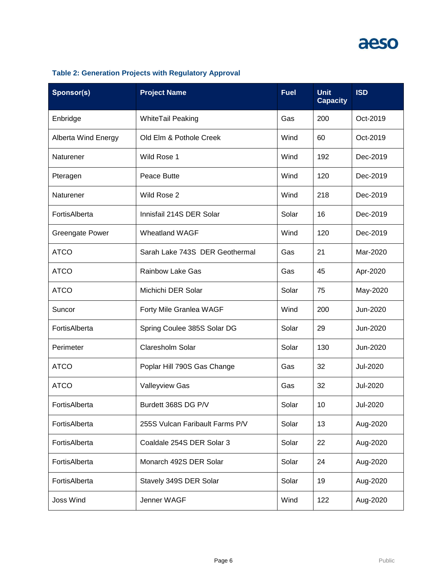| Sponsor(s)                 | <b>Project Name</b>             | <b>Fuel</b> | <b>Unit</b><br><b>Capacity</b> | <b>ISD</b> |
|----------------------------|---------------------------------|-------------|--------------------------------|------------|
| Enbridge                   | WhiteTail Peaking               | Gas         | 200                            | Oct-2019   |
| <b>Alberta Wind Energy</b> | Old Elm & Pothole Creek         | Wind        | 60                             | Oct-2019   |
| Naturener                  | Wild Rose 1                     | Wind        | 192                            | Dec-2019   |
| Pteragen                   | Peace Butte                     | Wind        | 120                            | Dec-2019   |
| Naturener                  | Wild Rose 2                     | Wind        | 218                            | Dec-2019   |
| FortisAlberta              | Innisfail 214S DER Solar        | Solar       | 16                             | Dec-2019   |
| <b>Greengate Power</b>     | <b>Wheatland WAGF</b>           | Wind        | 120                            | Dec-2019   |
| <b>ATCO</b>                | Sarah Lake 743S DER Geothermal  | Gas         | 21                             | Mar-2020   |
| <b>ATCO</b>                | <b>Rainbow Lake Gas</b>         | Gas         | 45                             | Apr-2020   |
| <b>ATCO</b>                | Michichi DER Solar              | Solar       | 75                             | May-2020   |
| Suncor                     | Forty Mile Granlea WAGF         | Wind        | 200                            | Jun-2020   |
| FortisAlberta              | Spring Coulee 385S Solar DG     | Solar       | 29                             | Jun-2020   |
| Perimeter                  | Claresholm Solar                | Solar       | 130                            | Jun-2020   |
| <b>ATCO</b>                | Poplar Hill 790S Gas Change     | Gas         | 32                             | Jul-2020   |
| <b>ATCO</b>                | <b>Valleyview Gas</b>           | Gas         | 32                             | Jul-2020   |
| FortisAlberta              | Burdett 368S DG P/V             | Solar       | 10                             | Jul-2020   |
| FortisAlberta              | 255S Vulcan Faribault Farms P/V | Solar       | 13                             | Aug-2020   |
| FortisAlberta              | Coaldale 254S DER Solar 3       | Solar       | 22                             | Aug-2020   |
| FortisAlberta              | Monarch 492S DER Solar          | Solar       | 24                             | Aug-2020   |
| FortisAlberta              | Stavely 349S DER Solar          | Solar       | 19                             | Aug-2020   |
| <b>Joss Wind</b>           | Jenner WAGF                     | Wind        | 122                            | Aug-2020   |

### **Table 2: Generation Projects with Regulatory Approval**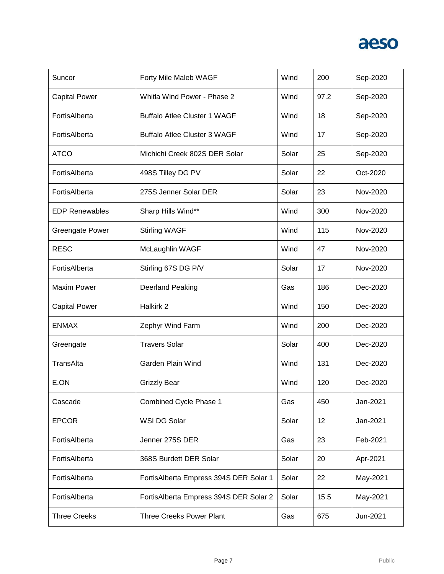| Suncor                 | Forty Mile Maleb WAGF                  | Wind  | 200  | Sep-2020 |
|------------------------|----------------------------------------|-------|------|----------|
| <b>Capital Power</b>   | Whitla Wind Power - Phase 2            | Wind  | 97.2 | Sep-2020 |
| FortisAlberta          | <b>Buffalo Atlee Cluster 1 WAGF</b>    | Wind  | 18   | Sep-2020 |
| FortisAlberta          | <b>Buffalo Atlee Cluster 3 WAGF</b>    | Wind  | 17   | Sep-2020 |
| <b>ATCO</b>            | Michichi Creek 802S DER Solar          | Solar | 25   | Sep-2020 |
| FortisAlberta          | 498S Tilley DG PV                      | Solar | 22   | Oct-2020 |
| FortisAlberta          | 275S Jenner Solar DER                  | Solar | 23   | Nov-2020 |
| <b>EDP Renewables</b>  | Sharp Hills Wind**                     | Wind  | 300  | Nov-2020 |
| <b>Greengate Power</b> | <b>Stirling WAGF</b>                   | Wind  | 115  | Nov-2020 |
| <b>RESC</b>            | McLaughlin WAGF                        | Wind  | 47   | Nov-2020 |
| FortisAlberta          | Stirling 67S DG P/V                    | Solar | 17   | Nov-2020 |
| <b>Maxim Power</b>     | <b>Deerland Peaking</b>                | Gas   | 186  | Dec-2020 |
| <b>Capital Power</b>   | Halkirk 2                              | Wind  | 150  | Dec-2020 |
| <b>ENMAX</b>           | Zephyr Wind Farm                       | Wind  | 200  | Dec-2020 |
| Greengate              | <b>Travers Solar</b>                   | Solar | 400  | Dec-2020 |
| TransAlta              | Garden Plain Wind                      | Wind  | 131  | Dec-2020 |
| E.ON                   | <b>Grizzly Bear</b>                    | Wind  | 120  | Dec-2020 |
| Cascade                | Combined Cycle Phase 1                 | Gas   | 450  | Jan-2021 |
| <b>EPCOR</b>           | WSI DG Solar                           | Solar | 12   | Jan-2021 |
| FortisAlberta          | Jenner 275S DER                        | Gas   | 23   | Feb-2021 |
| FortisAlberta          | 368S Burdett DER Solar                 | Solar | 20   | Apr-2021 |
| FortisAlberta          | FortisAlberta Empress 394S DER Solar 1 | Solar | 22   | May-2021 |
| FortisAlberta          | FortisAlberta Empress 394S DER Solar 2 | Solar | 15.5 | May-2021 |
| <b>Three Creeks</b>    | <b>Three Creeks Power Plant</b>        | Gas   | 675  | Jun-2021 |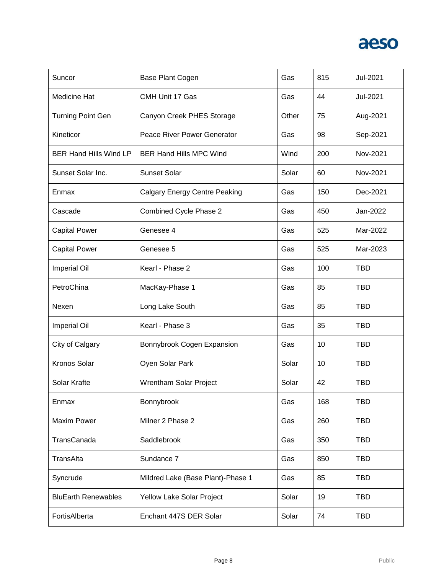

| Suncor                        | Base Plant Cogen                     | Gas   | 815 | Jul-2021   |
|-------------------------------|--------------------------------------|-------|-----|------------|
| <b>Medicine Hat</b>           | CMH Unit 17 Gas                      | Gas   | 44  | Jul-2021   |
| <b>Turning Point Gen</b>      | Canyon Creek PHES Storage            | Other | 75  | Aug-2021   |
| Kineticor                     | Peace River Power Generator          | Gas   | 98  | Sep-2021   |
| <b>BER Hand Hills Wind LP</b> | <b>BER Hand Hills MPC Wind</b>       | Wind  | 200 | Nov-2021   |
| Sunset Solar Inc.             | <b>Sunset Solar</b>                  | Solar | 60  | Nov-2021   |
| Enmax                         | <b>Calgary Energy Centre Peaking</b> | Gas   | 150 | Dec-2021   |
| Cascade                       | Combined Cycle Phase 2               | Gas   | 450 | Jan-2022   |
| <b>Capital Power</b>          | Genesee 4                            | Gas   | 525 | Mar-2022   |
| <b>Capital Power</b>          | Genesee 5                            | Gas   | 525 | Mar-2023   |
| <b>Imperial Oil</b>           | Kearl - Phase 2                      | Gas   | 100 | <b>TBD</b> |
| PetroChina                    | MacKay-Phase 1                       | Gas   | 85  | <b>TBD</b> |
| Nexen                         | Long Lake South                      | Gas   | 85  | <b>TBD</b> |
| <b>Imperial Oil</b>           | Kearl - Phase 3                      | Gas   | 35  | <b>TBD</b> |
| City of Calgary               | Bonnybrook Cogen Expansion           | Gas   | 10  | <b>TBD</b> |
| <b>Kronos Solar</b>           | Oyen Solar Park                      | Solar | 10  | <b>TBD</b> |
| Solar Krafte                  | Wrentham Solar Project               | Solar | 42  | <b>TBD</b> |
| Enmax                         | Bonnybrook                           | Gas   | 168 | <b>TBD</b> |
| <b>Maxim Power</b>            | Milner 2 Phase 2                     | Gas   | 260 | <b>TBD</b> |
| TransCanada                   | Saddlebrook                          | Gas   | 350 | <b>TBD</b> |
| TransAlta                     | Sundance 7                           | Gas   | 850 | <b>TBD</b> |
| Syncrude                      | Mildred Lake (Base Plant)-Phase 1    | Gas   | 85  | <b>TBD</b> |
| <b>BluEarth Renewables</b>    | Yellow Lake Solar Project            | Solar | 19  | <b>TBD</b> |
| FortisAlberta                 | Enchant 447S DER Solar               | Solar | 74  | <b>TBD</b> |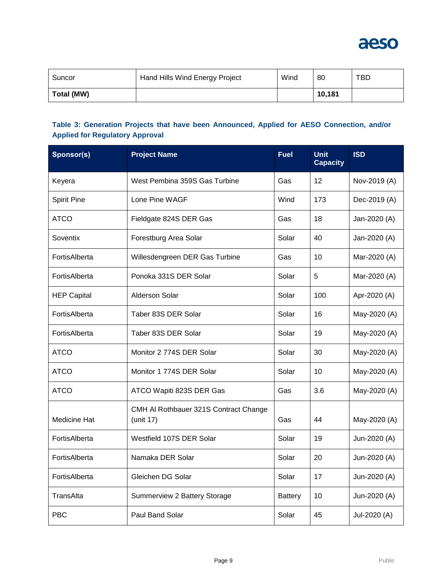

| Suncor     | Hand Hills Wind Energy Project | Wind | 80     | TBD |
|------------|--------------------------------|------|--------|-----|
| Total (MW) |                                |      | 10.181 |     |

### **Table 3: Generation Projects that have been Announced, Applied for AESO Connection, and/or Applied for Regulatory Approval**

| Sponsor(s)          | <b>Project Name</b>                                | <b>Fuel</b>    | <b>Unit</b><br><b>Capacity</b> | <b>ISD</b>   |
|---------------------|----------------------------------------------------|----------------|--------------------------------|--------------|
| Keyera              | West Pembina 359S Gas Turbine                      | Gas            | 12                             | Nov-2019 (A) |
| <b>Spirit Pine</b>  | Lone Pine WAGF                                     | Wind           | 173                            | Dec-2019 (A) |
| <b>ATCO</b>         | Fieldgate 824S DER Gas                             | Gas            | 18                             | Jan-2020 (A) |
| Soventix            | Forestburg Area Solar                              | Solar          | 40                             | Jan-2020 (A) |
| FortisAlberta       | Willesdengreen DER Gas Turbine                     | Gas            | 10                             | Mar-2020 (A) |
| FortisAlberta       | Ponoka 331S DER Solar                              | Solar          | 5                              | Mar-2020 (A) |
| <b>HEP Capital</b>  | <b>Alderson Solar</b>                              | Solar          | 100                            | Apr-2020 (A) |
| FortisAlberta       | Taber 83S DER Solar                                | Solar          | 16                             | May-2020 (A) |
| FortisAlberta       | Taber 83S DER Solar                                | Solar          | 19                             | May-2020 (A) |
| <b>ATCO</b>         | Monitor 2 774S DER Solar                           | Solar          | 30                             | May-2020 (A) |
| <b>ATCO</b>         | Monitor 1 774S DER Solar                           | Solar          | 10                             | May-2020 (A) |
| <b>ATCO</b>         | ATCO Wapiti 823S DER Gas                           | Gas            | 3.6                            | May-2020 (A) |
| <b>Medicine Hat</b> | CMH AI Rothbauer 321S Contract Change<br>(unit 17) | Gas            | 44                             | May-2020 (A) |
| FortisAlberta       | Westfield 107S DER Solar                           | Solar          | 19                             | Jun-2020 (A) |
| FortisAlberta       | Namaka DER Solar                                   | Solar          | 20                             | Jun-2020 (A) |
| FortisAlberta       | Gleichen DG Solar                                  | Solar          | 17                             | Jun-2020 (A) |
| TransAlta           | Summerview 2 Battery Storage                       | <b>Battery</b> | 10                             | Jun-2020 (A) |
| <b>PBC</b>          | Paul Band Solar                                    | Solar          | 45                             | Jul-2020 (A) |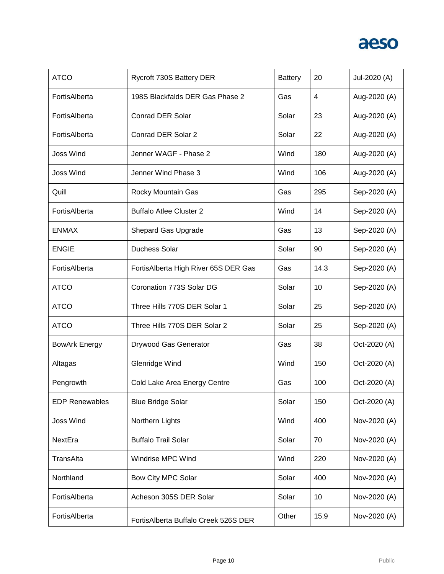| <b>ATCO</b>           | Rycroft 730S Battery DER             | <b>Battery</b> | 20   | Jul-2020 (A) |
|-----------------------|--------------------------------------|----------------|------|--------------|
| FortisAlberta         | 198S Blackfalds DER Gas Phase 2      | Gas            | 4    | Aug-2020 (A) |
| FortisAlberta         | <b>Conrad DER Solar</b>              | Solar          | 23   | Aug-2020 (A) |
| FortisAlberta         | Conrad DER Solar 2                   | Solar          | 22   | Aug-2020 (A) |
| <b>Joss Wind</b>      | Jenner WAGF - Phase 2                | Wind           | 180  | Aug-2020 (A) |
| <b>Joss Wind</b>      | Jenner Wind Phase 3                  | Wind           | 106  | Aug-2020 (A) |
| Quill                 | Rocky Mountain Gas                   | Gas            | 295  | Sep-2020 (A) |
| FortisAlberta         | <b>Buffalo Atlee Cluster 2</b>       | Wind           | 14   | Sep-2020 (A) |
| <b>ENMAX</b>          | Shepard Gas Upgrade                  | Gas            | 13   | Sep-2020 (A) |
| <b>ENGIE</b>          | Duchess Solar                        | Solar          | 90   | Sep-2020 (A) |
| FortisAlberta         | FortisAlberta High River 65S DER Gas | Gas            | 14.3 | Sep-2020 (A) |
| <b>ATCO</b>           | Coronation 773S Solar DG             | Solar          | 10   | Sep-2020 (A) |
| <b>ATCO</b>           | Three Hills 770S DER Solar 1         | Solar          | 25   | Sep-2020 (A) |
| <b>ATCO</b>           | Three Hills 770S DER Solar 2         | Solar          | 25   | Sep-2020 (A) |
| <b>BowArk Energy</b>  | Drywood Gas Generator                | Gas            | 38   | Oct-2020 (A) |
| Altagas               | Glenridge Wind                       | Wind           | 150  | Oct-2020 (A) |
| Pengrowth             | Cold Lake Area Energy Centre         | Gas            | 100  | Oct-2020 (A) |
| <b>EDP Renewables</b> | <b>Blue Bridge Solar</b>             | Solar          | 150  | Oct-2020 (A) |
| <b>Joss Wind</b>      | Northern Lights                      | Wind           | 400  | Nov-2020 (A) |
| NextEra               | <b>Buffalo Trail Solar</b>           | Solar          | 70   | Nov-2020 (A) |
| TransAlta             | Windrise MPC Wind                    | Wind           | 220  | Nov-2020 (A) |
| Northland             | Bow City MPC Solar                   | Solar          | 400  | Nov-2020 (A) |
| FortisAlberta         | Acheson 305S DER Solar               | Solar          | 10   | Nov-2020 (A) |
| FortisAlberta         | FortisAlberta Buffalo Creek 526S DER | Other          | 15.9 | Nov-2020 (A) |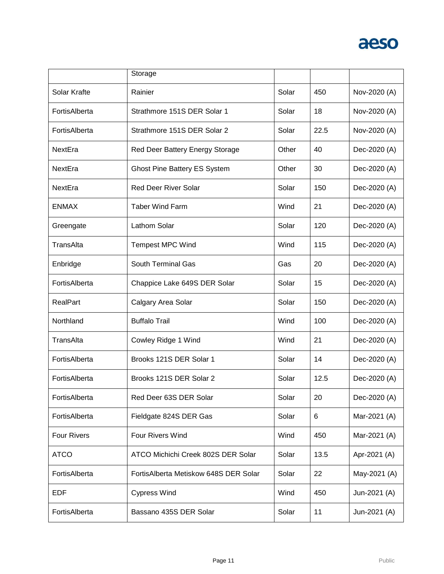

|                    | Storage                                |       |      |              |
|--------------------|----------------------------------------|-------|------|--------------|
| Solar Krafte       | Rainier                                | Solar | 450  | Nov-2020 (A) |
| FortisAlberta      | Strathmore 151S DER Solar 1            | Solar | 18   | Nov-2020 (A) |
| FortisAlberta      | Strathmore 151S DER Solar 2            | Solar | 22.5 | Nov-2020 (A) |
| NextEra            | Red Deer Battery Energy Storage        | Other | 40   | Dec-2020 (A) |
| NextEra            | <b>Ghost Pine Battery ES System</b>    | Other | 30   | Dec-2020 (A) |
| NextEra            | <b>Red Deer River Solar</b>            | Solar | 150  | Dec-2020 (A) |
| <b>ENMAX</b>       | <b>Taber Wind Farm</b>                 | Wind  | 21   | Dec-2020 (A) |
| Greengate          | Lathom Solar                           | Solar | 120  | Dec-2020 (A) |
| TransAlta          | <b>Tempest MPC Wind</b>                | Wind  | 115  | Dec-2020 (A) |
| Enbridge           | <b>South Terminal Gas</b>              | Gas   | 20   | Dec-2020 (A) |
| FortisAlberta      | Chappice Lake 649S DER Solar           | Solar | 15   | Dec-2020 (A) |
| <b>RealPart</b>    | Calgary Area Solar                     | Solar | 150  | Dec-2020 (A) |
| Northland          | <b>Buffalo Trail</b>                   | Wind  | 100  | Dec-2020 (A) |
| TransAlta          | Cowley Ridge 1 Wind                    | Wind  | 21   | Dec-2020 (A) |
| FortisAlberta      | Brooks 121S DER Solar 1                | Solar | 14   | Dec-2020 (A) |
| FortisAlberta      | Brooks 121S DER Solar 2                | Solar | 12.5 | Dec-2020 (A) |
| FortisAlberta      | Red Deer 63S DER Solar                 | Solar | 20   | Dec-2020 (A) |
| FortisAlberta      | Fieldgate 824S DER Gas                 | Solar | 6    | Mar-2021 (A) |
| <b>Four Rivers</b> | Four Rivers Wind                       | Wind  | 450  | Mar-2021 (A) |
| <b>ATCO</b>        | ATCO Michichi Creek 802S DER Solar     | Solar | 13.5 | Apr-2021 (A) |
| FortisAlberta      | Fortis Alberta Metiskow 648S DER Solar | Solar | 22   | May-2021 (A) |
| <b>EDF</b>         | <b>Cypress Wind</b>                    | Wind  | 450  | Jun-2021 (A) |
|                    |                                        |       |      |              |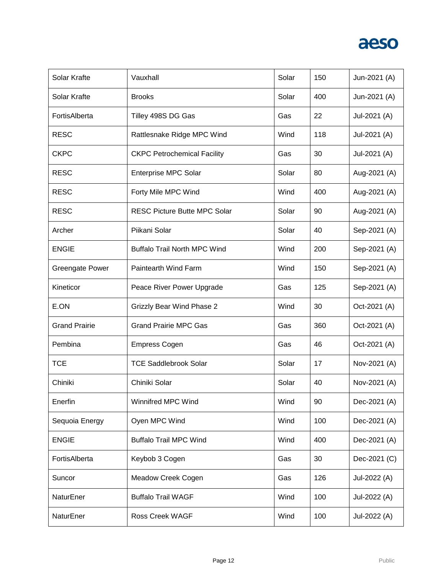

| Solar Krafte           | Vauxhall                            | Solar | 150 | Jun-2021 (A) |
|------------------------|-------------------------------------|-------|-----|--------------|
| Solar Krafte           | <b>Brooks</b>                       | Solar | 400 | Jun-2021 (A) |
| FortisAlberta          | Tilley 498S DG Gas                  | Gas   | 22  | Jul-2021 (A) |
| <b>RESC</b>            | Rattlesnake Ridge MPC Wind          | Wind  | 118 | Jul-2021 (A) |
| <b>CKPC</b>            | <b>CKPC Petrochemical Facility</b>  | Gas   | 30  | Jul-2021 (A) |
| <b>RESC</b>            | <b>Enterprise MPC Solar</b>         | Solar | 80  | Aug-2021 (A) |
| <b>RESC</b>            | Forty Mile MPC Wind                 | Wind  | 400 | Aug-2021 (A) |
| <b>RESC</b>            | <b>RESC Picture Butte MPC Solar</b> | Solar | 90  | Aug-2021 (A) |
| Archer                 | Piikani Solar                       | Solar | 40  | Sep-2021 (A) |
| <b>ENGIE</b>           | <b>Buffalo Trail North MPC Wind</b> | Wind  | 200 | Sep-2021 (A) |
| <b>Greengate Power</b> | Paintearth Wind Farm                | Wind  | 150 | Sep-2021 (A) |
| Kineticor              | Peace River Power Upgrade           | Gas   | 125 | Sep-2021 (A) |
| E.ON                   | <b>Grizzly Bear Wind Phase 2</b>    | Wind  | 30  | Oct-2021 (A) |
| <b>Grand Prairie</b>   | <b>Grand Prairie MPC Gas</b>        | Gas   | 360 | Oct-2021 (A) |
| Pembina                | <b>Empress Cogen</b>                | Gas   | 46  | Oct-2021 (A) |
| <b>TCE</b>             | <b>TCE Saddlebrook Solar</b>        | Solar | 17  | Nov-2021 (A) |
| Chiniki                | Chiniki Solar                       | Solar | 40  | Nov-2021 (A) |
| Enerfin                | Winnifred MPC Wind                  | Wind  | 90  | Dec-2021 (A) |
| Sequoia Energy         | Oyen MPC Wind                       | Wind  | 100 | Dec-2021 (A) |
| <b>ENGIE</b>           | <b>Buffalo Trail MPC Wind</b>       | Wind  | 400 | Dec-2021 (A) |
| FortisAlberta          | Keybob 3 Cogen                      | Gas   | 30  | Dec-2021 (C) |
| Suncor                 | Meadow Creek Cogen                  | Gas   | 126 | Jul-2022 (A) |
| NaturEner              | <b>Buffalo Trail WAGF</b>           | Wind  | 100 | Jul-2022 (A) |
| NaturEner              | Ross Creek WAGF                     | Wind  | 100 | Jul-2022 (A) |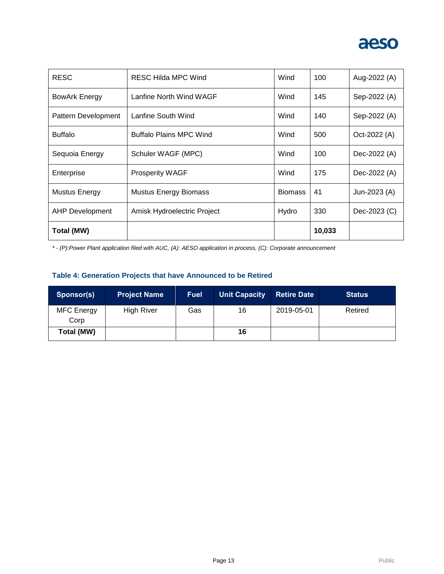

| <b>RESC</b>            | RESC Hilda MPC Wind            | Wind           | 100    | Aug-2022 (A) |
|------------------------|--------------------------------|----------------|--------|--------------|
| BowArk Energy          | Lanfine North Wind WAGF        | Wind           | 145    | Sep-2022 (A) |
| Pattern Development    | Lanfine South Wind             | Wind           | 140    | Sep-2022 (A) |
| <b>Buffalo</b>         | <b>Buffalo Plains MPC Wind</b> | Wind           | 500    | Oct-2022 (A) |
| Sequoia Energy         | Schuler WAGF (MPC)             | Wind           | 100    | Dec-2022 (A) |
| Enterprise             | <b>Prosperity WAGF</b>         | Wind           | 175    | Dec-2022 (A) |
| <b>Mustus Energy</b>   | <b>Mustus Energy Biomass</b>   | <b>Biomass</b> | 41     | Jun-2023 (A) |
| <b>AHP Development</b> | Amisk Hydroelectric Project    | Hydro          | 330    | Dec-2023 (C) |
| Total (MW)             |                                |                | 10,033 |              |

*\* - (P):Power Plant application filed with AUC, (A): AESO application in process, (C): Corporate announcement*

### **Table 4: Generation Projects that have Announced to be Retired**

| Sponsor(s)                | <b>Project Name</b> | <b>Fuel</b> | <b>Unit Capacity</b> | <b>Retire Date</b> | <b>Status</b> |
|---------------------------|---------------------|-------------|----------------------|--------------------|---------------|
| <b>MFC</b> Energy<br>Corp | <b>High River</b>   | Gas         | 16                   | 2019-05-01         | Retired       |
| Total (MW)                |                     |             | 16                   |                    |               |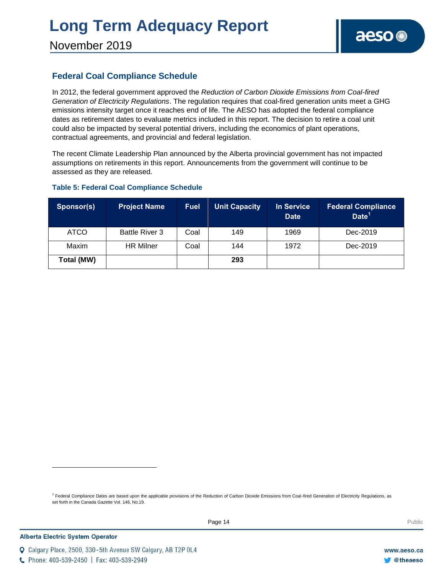### **Federal Coal Compliance Schedule**

In 2012, the federal government approved the *Reduction of Carbon Dioxide Emissions from Coal-fired Generation of Electricity Regulations*. The regulation requires that coal-fired generation units meet a GHG emissions intensity target once it reaches end of life. The AESO has adopted the federal compliance dates as retirement dates to evaluate metrics included in this report. The decision to retire a coal unit could also be impacted by several potential drivers, including the economics of plant operations, contractual agreements, and provincial and federal legislation.

The recent Climate Leadership Plan announced by the Alberta provincial government has not impacted assumptions on retirements in this report. Announcements from the government will continue to be assessed as they are released.

### **Table 5: Federal Coal Compliance Schedule**

| Sponsor(s)  | <b>Project Name</b>   | <b>Fuel</b> | <b>Unit Capacity</b> | <b>In Service</b><br><b>Date</b> | <b>Federal Compliance</b><br>Date <sup>1</sup> |
|-------------|-----------------------|-------------|----------------------|----------------------------------|------------------------------------------------|
| <b>ATCO</b> | <b>Battle River 3</b> | Coal        | 149                  | 1969                             | Dec-2019                                       |
| Maxim       | <b>HR Milner</b>      | Coal        | 144                  | 1972                             | Dec-2019                                       |
| Total (MW)  |                       |             | 293                  |                                  |                                                |

<sup>1</sup> Federal Compliance Dates are based upon the applicable provisions of the Reduction of Carbon Dioxide Emissions from Coal-fired Generation of Electricity Regulations, as set forth in the Canada Gazette Vol. 146, No.19.

C Phone: 403-539-2450 | Fax: 403-539-2949

Q Calgary Place, 2500, 330-5th Avenue SW Calgary, AB T2P 0L4

l

www.aeso.ca **Otheaeso**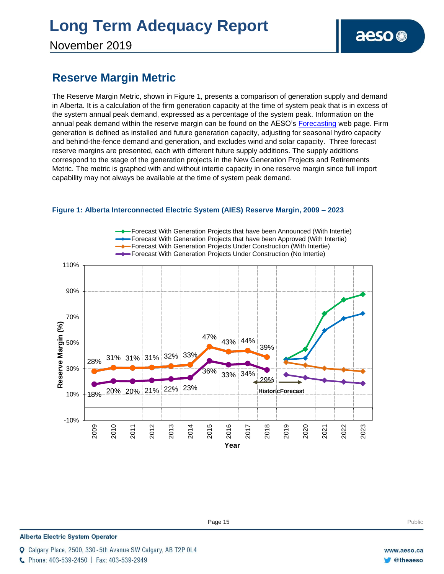November 2019

### **Reserve Margin Metric**

The Reserve Margin Metric, shown in Figure 1, presents a comparison of generation supply and demand in Alberta. It is a calculation of the firm generation capacity at the time of system peak that is in excess of the system annual peak demand, expressed as a percentage of the system peak. Information on the annual peak demand within the reserve margin can be found on the AESO's [Forecasting](https://www.aeso.ca/grid/forecasting) web page. Firm generation is defined as installed and future generation capacity, adjusting for seasonal hydro capacity and behind-the-fence demand and generation, and excludes wind and solar capacity. Three forecast reserve margins are presented, each with different future supply additions. The supply additions correspond to the stage of the generation projects in the New Generation Projects and Retirements Metric. The metric is graphed with and without intertie capacity in one reserve margin since full import capability may not always be available at the time of system peak demand.



### **Figure 1: Alberta Interconnected Electric System (AIES) Reserve Margin, 2009 – 2023**

**Alberta Electric System Operator** 

Calgary Place, 2500, 330-5th Avenue SW Calgary, AB T2P 0L4

C Phone: 403-539-2450 | Fax: 403-539-2949

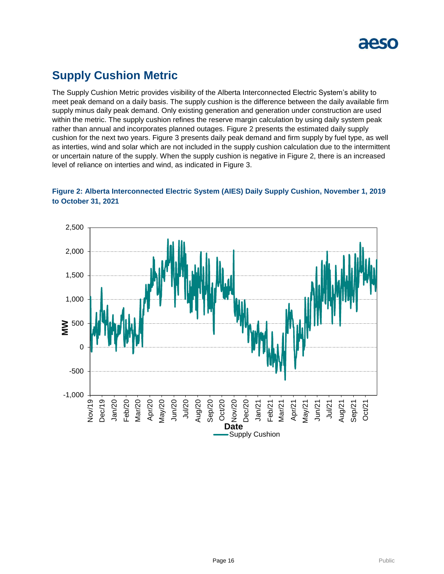

### **Supply Cushion Metric**

The Supply Cushion Metric provides visibility of the Alberta Interconnected Electric System's ability to meet peak demand on a daily basis. The supply cushion is the difference between the daily available firm supply minus daily peak demand. Only existing generation and generation under construction are used within the metric. The supply cushion refines the reserve margin calculation by using daily system peak rather than annual and incorporates planned outages. Figure 2 presents the estimated daily supply cushion for the next two years. Figure 3 presents daily peak demand and firm supply by fuel type, as well as interties, wind and solar which are not included in the supply cushion calculation due to the intermittent or uncertain nature of the supply. When the supply cushion is negative in Figure 2, there is an increased level of reliance on interties and wind, as indicated in Figure 3.



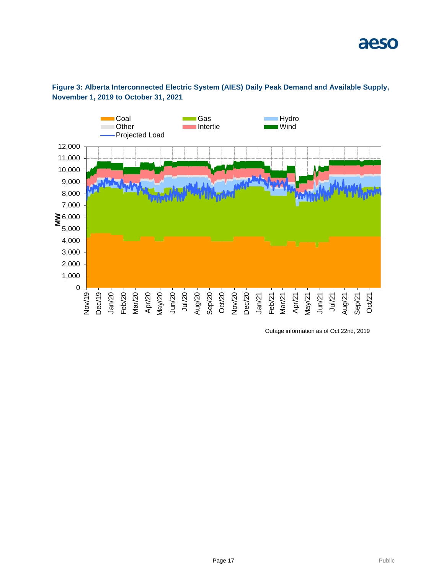



Outage information as of Oct 22nd, 2019